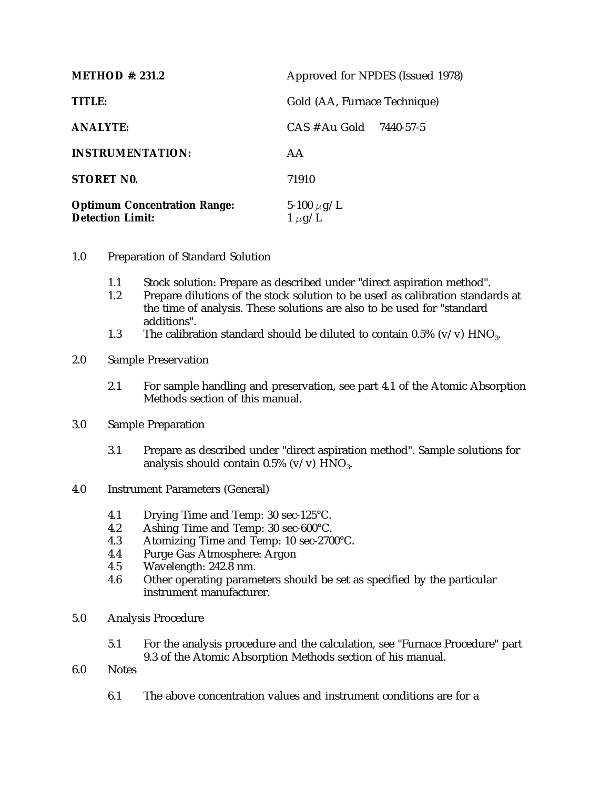| METHOD $\#$ : 231.2                                            | Approved for NPDES (Issued 1978) |
|----------------------------------------------------------------|----------------------------------|
| TITLE:                                                         | Gold (AA, Furnace Technique)     |
| <b>ANALYTE:</b>                                                | CAS # Au Gold<br>7440-57-5       |
| <b>INSTRUMENTATION:</b>                                        | AA                               |
| STORET NO.                                                     | 71910                            |
| <b>Optimum Concentration Range:</b><br><b>Detection Limit:</b> | 5-100 $\mu$ g/L<br>$1 \mu g/L$   |

- 1.0 Preparation of Standard Solution
	- 1.1 Stock solution: Prepare as described under "direct aspiration method".
	- 1.2 Prepare dilutions of the stock solution to be used as calibration standards at the time of analysis. These solutions are also to be used for "standard additions".
	- 1.3 The calibration standard should be diluted to contain 0.5% (v/v)  $HNO<sub>3</sub>$ .

## 2.0 Sample Preservation

2.1 For sample handling and preservation, see part 4.1 of the Atomic Absorption Methods section of this manual.

## 3.0 Sample Preparation

- 3.1 Prepare as described under "direct aspiration method". Sample solutions for analysis should contain  $0.5\%$  (v/v)  $HNO<sub>3</sub>$ .
- 4.0 Instrument Parameters (General)
	- 4.1 Drying Time and Temp: 30 sec-125°C.
	- 4.2 Ashing Time and Temp: 30 sec-600°C.
	- 4.3 Atomizing Time and Temp: 10 sec-2700°C.<br>4.4 Purge Gas Atmosphere: Argon
	- Purge Gas Atmosphere: Argon
	- 4.5 Wavelength: 242.8 nm.
	- 4.6 Other operating parameters should be set as specified by the particular instrument manufacturer.
- 5.0 Analysis Procedure
	- 5.1 For the analysis procedure and the calculation, see "Furnace Procedure" part 9.3 of the Atomic Absorption Methods section of his manual.
- 6.0 Notes
	- 6.1 The above concentration values and instrument conditions are for a